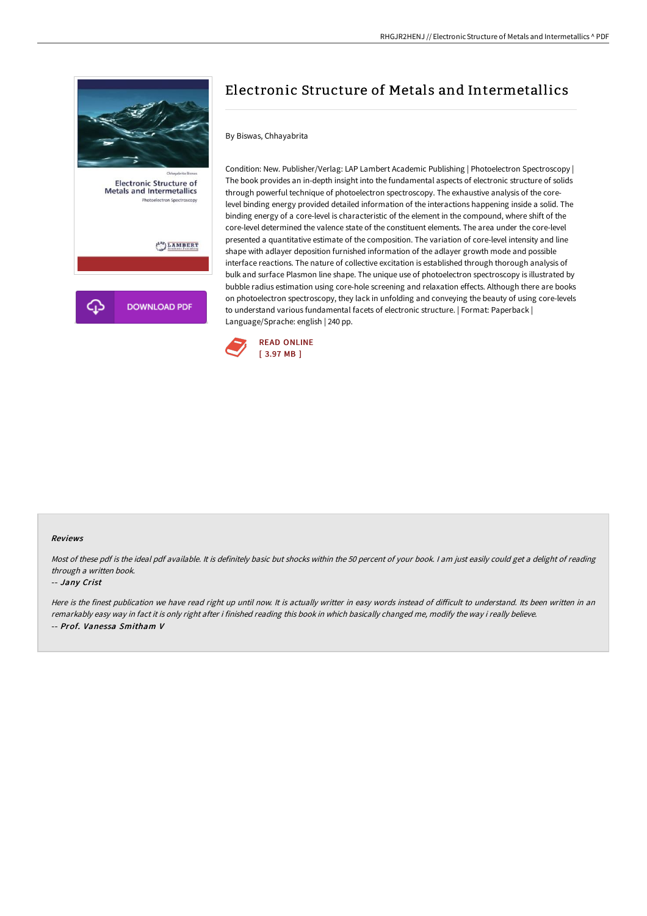

# Electronic Structure of Metals and Intermetallics

## By Biswas, Chhayabrita

Condition: New. Publisher/Verlag: LAP Lambert Academic Publishing | Photoelectron Spectroscopy | The book provides an in-depth insight into the fundamental aspects of electronic structure of solids through powerful technique of photoelectron spectroscopy. The exhaustive analysis of the corelevel binding energy provided detailed information of the interactions happening inside a solid. The binding energy of a core-level is characteristic of the element in the compound, where shift of the core-level determined the valence state of the constituent elements. The area under the core-level presented a quantitative estimate of the composition. The variation of core-level intensity and line shape with adlayer deposition furnished information of the adlayer growth mode and possible interface reactions. The nature of collective excitation is established through thorough analysis of bulk and surface Plasmon line shape. The unique use of photoelectron spectroscopy is illustrated by bubble radius estimation using core-hole screening and relaxation effects. Although there are books on photoelectron spectroscopy, they lack in unfolding and conveying the beauty of using core-levels to understand various fundamental facets of electronic structure. | Format: Paperback | Language/Sprache: english | 240 pp.



#### Reviews

Most of these pdf is the ideal pdf available. It is definitely basic but shocks within the 50 percent of your book. I am just easily could get a delight of reading through <sup>a</sup> written book.

#### -- Jany Crist

Here is the finest publication we have read right up until now. It is actually writter in easy words instead of difficult to understand. Its been written in an remarkably easy way in fact it is only right after i finished reading this book in which basically changed me, modify the way i really believe. -- Prof. Vanessa Smitham V